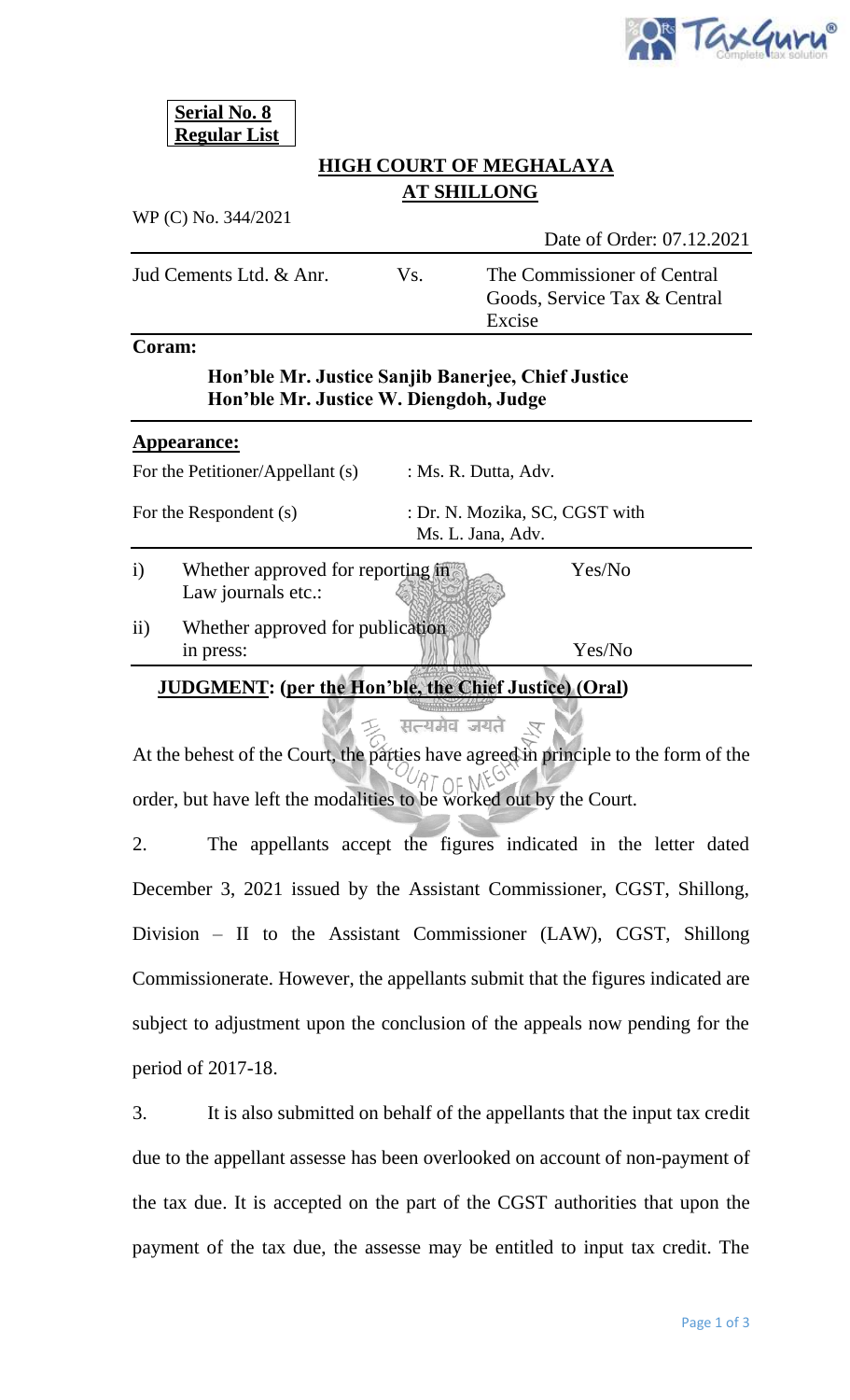

**Serial No. 8 Regular List**

## **HIGH COURT OF MEGHALAYA AT SHILLONG**

WP (C) No. 344/2021

Date of Order: 07.12.2021

Jud Cements Ltd. & Anr. Vs. The Commissioner of Central Goods, Service Tax & Central Excise

### **Coram:**

## **Hon'ble Mr. Justice Sanjib Banerjee, Chief Justice Hon'ble Mr. Justice W. Diengdoh, Judge**

#### **Appearance:**

| For the Petitioner/Appellant (s)<br>For the Respondent (s) |  | : Ms. R. Dutta, Adv.<br>: Dr. N. Mozika, SC, CGST with<br>Ms. L. Jana, Adv. |  |
|------------------------------------------------------------|--|-----------------------------------------------------------------------------|--|
|                                                            |  |                                                                             |  |

ii) Whether approved for publication in press: Yes/No

## **JUDGMENT: (per the Hon'ble, the Chief Justice) (Oral)**

# At the behest of the Court, the parties have agreed in principle to the form of the order, but have left the modalities to be worked out by the Court.

सत्यमेव जयते

2. The appellants accept the figures indicated in the letter dated December 3, 2021 issued by the Assistant Commissioner, CGST, Shillong, Division – II to the Assistant Commissioner (LAW), CGST, Shillong Commissionerate. However, the appellants submit that the figures indicated are subject to adjustment upon the conclusion of the appeals now pending for the period of 2017-18.

3. It is also submitted on behalf of the appellants that the input tax credit due to the appellant assesse has been overlooked on account of non-payment of the tax due. It is accepted on the part of the CGST authorities that upon the payment of the tax due, the assesse may be entitled to input tax credit. The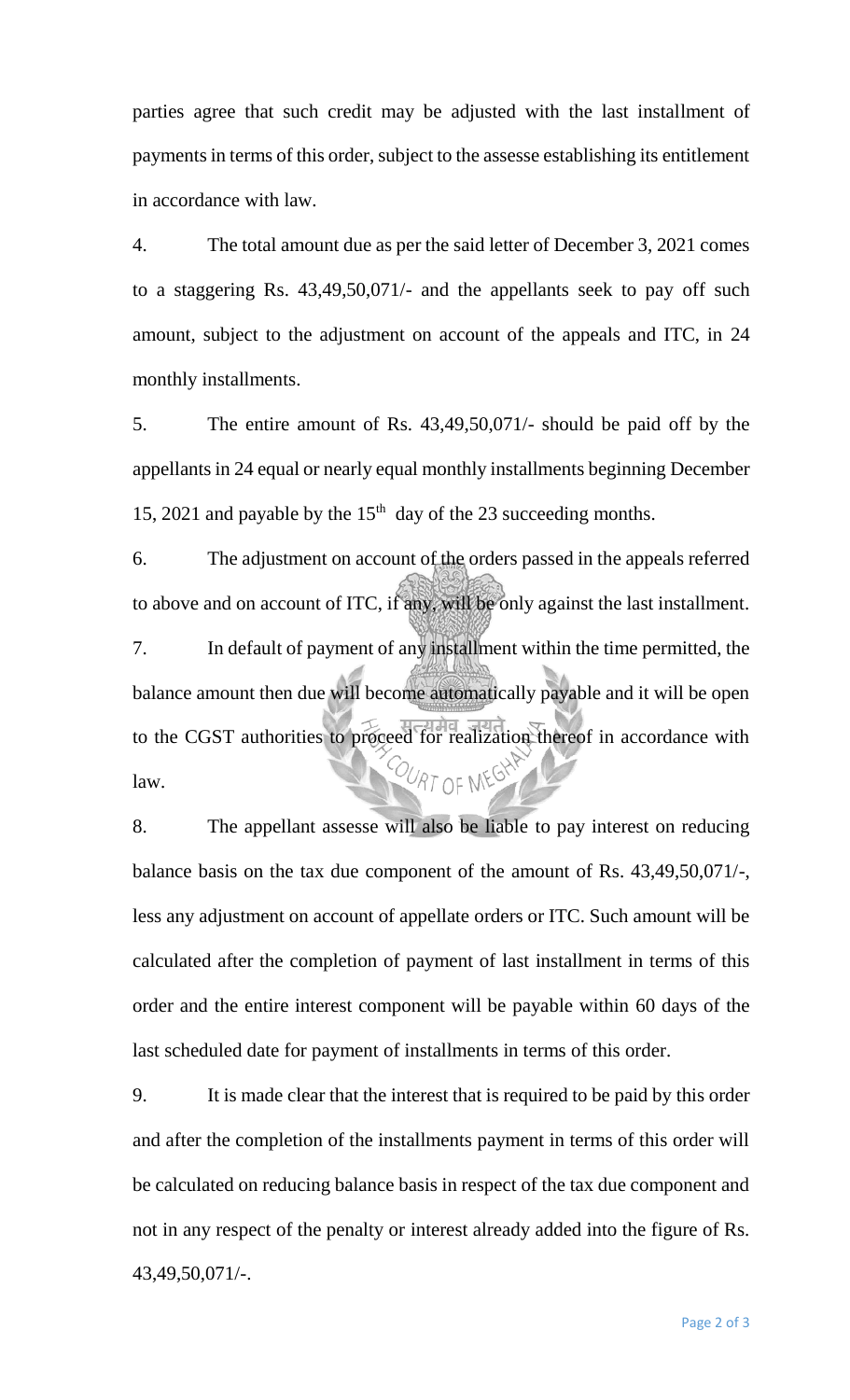parties agree that such credit may be adjusted with the last installment of payments in terms of this order, subject to the assesse establishing its entitlement in accordance with law.

4. The total amount due as per the said letter of December 3, 2021 comes to a staggering Rs. 43,49,50,071/- and the appellants seek to pay off such amount, subject to the adjustment on account of the appeals and ITC, in 24 monthly installments.

5. The entire amount of Rs. 43,49,50,071/- should be paid off by the appellants in 24 equal or nearly equal monthly installments beginning December 15, 2021 and payable by the  $15<sup>th</sup>$  day of the 23 succeeding months.

6. The adjustment on account of the orders passed in the appeals referred to above and on account of ITC, if any, will be only against the last installment. 7. In default of payment of any installment within the time permitted, the balance amount then due will become automatically payable and it will be open to the CGST authorities to proceed for realization thereof in accordance with COURT OF MEGHAN law.

8. The appellant assesse will also be liable to pay interest on reducing balance basis on the tax due component of the amount of Rs. 43,49,50,071/-, less any adjustment on account of appellate orders or ITC. Such amount will be calculated after the completion of payment of last installment in terms of this order and the entire interest component will be payable within 60 days of the last scheduled date for payment of installments in terms of this order.

9. It is made clear that the interest that is required to be paid by this order and after the completion of the installments payment in terms of this order will be calculated on reducing balance basis in respect of the tax due component and not in any respect of the penalty or interest already added into the figure of Rs. 43,49,50,071/-.